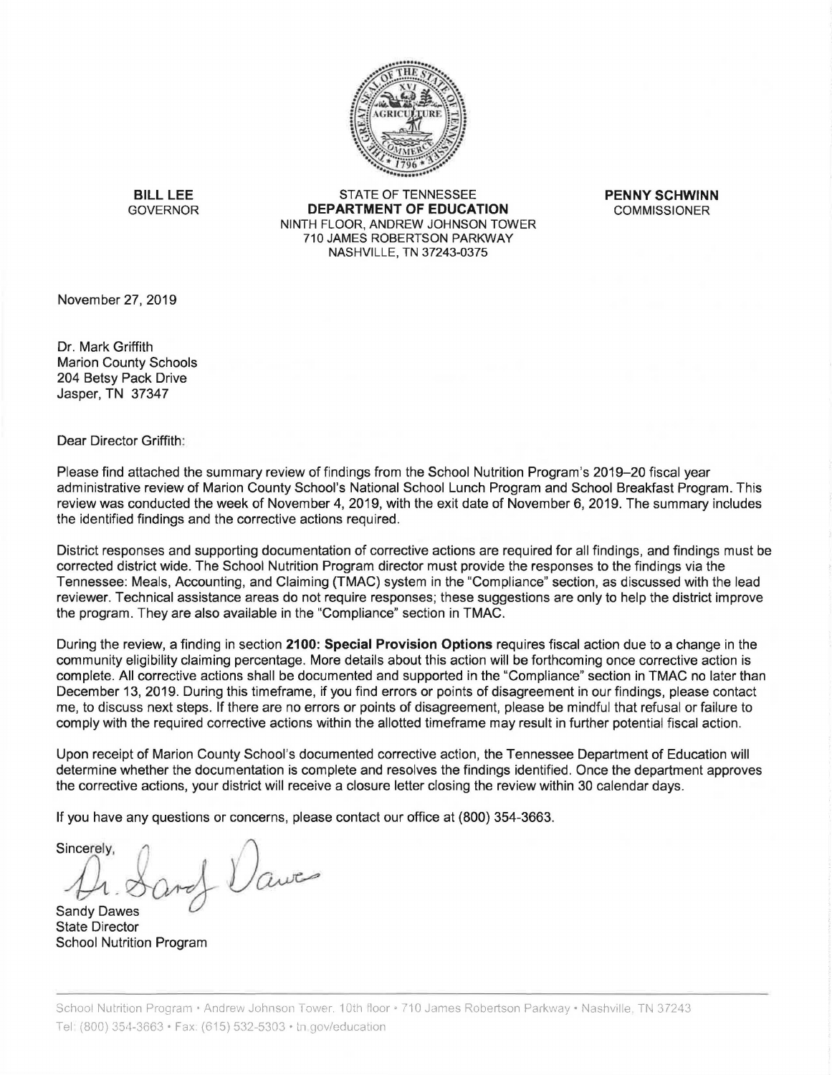

**BILL LEE**  GOVERNOR

STATE OF TENNESSEE **DEPARTMENT OF EDUCATION**  NINTH FLOOR, ANDREW JOHNSON TOWER 710 JAMES ROBERTSON PARKWAY NASHVILLE, TN 37243-0375

**PENNY SCHWINN**  COMMISSIONER

November 27, 2019

Dr. Mark Griffith Marion County Schools 204 Betsy Pack Drive Jasper, TN 37347

Dear Director Griffith:

Please find attached the summary review of findings from the School Nutrition Program's 2019-20 fiscal year administrative review of Marion County School's National School Lunch Program and School Breakfast Program. This review was conducted the week of November 4, 2019, with the exit date of November 6, 2019. The summary includes the identified findings and the corrective actions required .

District responses and supporting documentation of corrective actions are required for all findings, and findings must be corrected district wide. The School Nutrition Program director must provide the responses to the findings via the Tennessee: Meals, Accounting, and Claiming (TMAC) system in the "Compliance" section, as discussed with the lead reviewer. Technical assistance areas do not require responses; these suggestions are only to help the district improve the program. They are also available in the "Compliance" section in TMAC.

During the review, a finding in section **2100: Special Provision Options** requires fiscal action due to a change in the community eligibility claiming percentage. More details about this action will be forthcoming once corrective action is complete. All corrective actions shall be documented and supported in the "Compliance" section in TMAC no later than December 13, 2019. During this timeframe, if you find errors or points of disagreement in our findings, please contact me, to discuss next steps. If there are no errors or points of disagreement, please be mindful that refusal or failure to comply with the required corrective actions within the allotted timeframe may result in further potential fiscal action.

Upon receipt of Marion County School's documented corrective action, the Tennessee Department of Education will determine whether the documentation is complete and resolves the findings identified. Once the department approves the corrective actions, your district will receive a closure letter closing the review within 30 calendar days.

If you have any questions or concerns, please contact our office at (800) 354-3663.

Sincerely,<br> *A*, *Ord*, *Queens*, *Queens*  $A \text{ and } A$ <br>Sandy Dawes

State Director School Nutrition Program